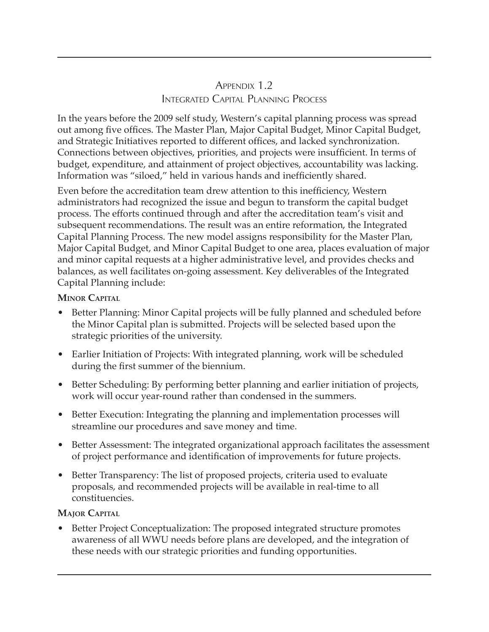## APPENDIX 1.2 Integrated Capital Planning Process

In the years before the 2009 self study, Western's capital planning process was spread out among five offices. The Master Plan, Major Capital Budget, Minor Capital Budget, and Strategic Initiatives reported to different offices, and lacked synchronization. Connections between objectives, priorities, and projects were insufficient. In terms of budget, expenditure, and attainment of project objectives, accountability was lacking. Information was "siloed," held in various hands and inefficiently shared.

Even before the accreditation team drew attention to this inefficiency, Western administrators had recognized the issue and begun to transform the capital budget process. The efforts continued through and after the accreditation team's visit and subsequent recommendations. The result was an entire reformation, the Integrated Capital Planning Process. The new model assigns responsibility for the Master Plan, Major Capital Budget, and Minor Capital Budget to one area, places evaluation of major and minor capital requests at a higher administrative level, and provides checks and balances, as well facilitates on-going assessment. Key deliverables of the Integrated Capital Planning include:

## **Minor Capital**

- Better Planning: Minor Capital projects will be fully planned and scheduled before the Minor Capital plan is submitted. Projects will be selected based upon the strategic priorities of the university.
- Earlier Initiation of Projects: With integrated planning, work will be scheduled during the first summer of the biennium.
- Better Scheduling: By performing better planning and earlier initiation of projects, work will occur year-round rather than condensed in the summers.
- Better Execution: Integrating the planning and implementation processes will streamline our procedures and save money and time.
- Better Assessment: The integrated organizational approach facilitates the assessment of project performance and identification of improvements for future projects.
- Better Transparency: The list of proposed projects, criteria used to evaluate proposals, and recommended projects will be available in real-time to all constituencies.

## **Major Capital**

• Better Project Conceptualization: The proposed integrated structure promotes awareness of all WWU needs before plans are developed, and the integration of these needs with our strategic priorities and funding opportunities.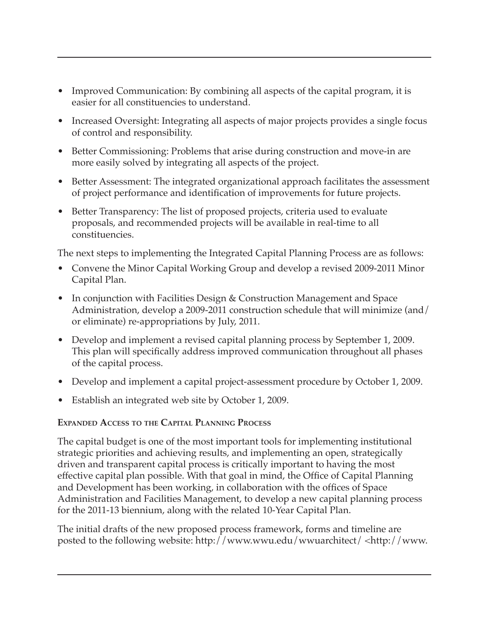- Improved Communication: By combining all aspects of the capital program, it is easier for all constituencies to understand.
- Increased Oversight: Integrating all aspects of major projects provides a single focus of control and responsibility.
- Better Commissioning: Problems that arise during construction and move-in are more easily solved by integrating all aspects of the project.
- Better Assessment: The integrated organizational approach facilitates the assessment of project performance and identification of improvements for future projects.
- Better Transparency: The list of proposed projects, criteria used to evaluate proposals, and recommended projects will be available in real-time to all constituencies.

The next steps to implementing the Integrated Capital Planning Process are as follows:

- Convene the Minor Capital Working Group and develop a revised 2009-2011 Minor Capital Plan.
- In conjunction with Facilities Design & Construction Management and Space Administration, develop a 2009-2011 construction schedule that will minimize (and/ or eliminate) re-appropriations by July, 2011.
- Develop and implement a revised capital planning process by September 1, 2009. This plan will specifically address improved communication throughout all phases of the capital process.
- Develop and implement a capital project-assessment procedure by October 1, 2009.
- Establish an integrated web site by October 1, 2009.

## **Expanded Access to the Capital Planning Process**

The capital budget is one of the most important tools for implementing institutional strategic priorities and achieving results, and implementing an open, strategically driven and transparent capital process is critically important to having the most effective capital plan possible. With that goal in mind, the Office of Capital Planning and Development has been working, in collaboration with the offices of Space Administration and Facilities Management, to develop a new capital planning process for the 2011-13 biennium, along with the related 10-Year Capital Plan.

The initial drafts of the new proposed process framework, forms and timeline are posted to the following website: http://www.wwu.edu/wwuarchitect/ <http://www.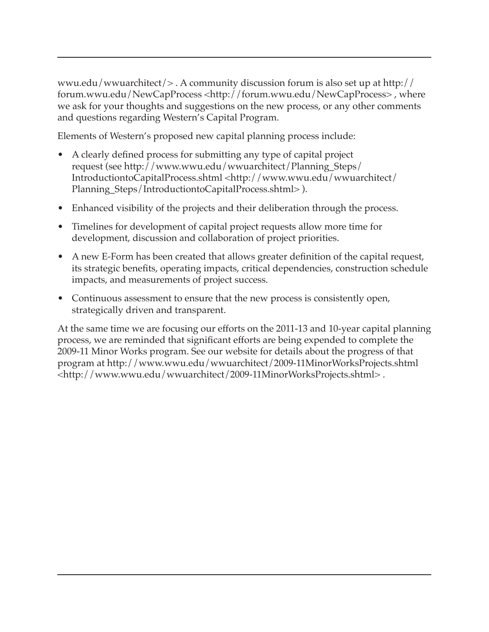wwu.edu/wwuarchitect/> . A community discussion forum is also set up at http:// forum.wwu.edu/NewCapProcess <http://forum.wwu.edu/NewCapProcess> , where we ask for your thoughts and suggestions on the new process, or any other comments and questions regarding Western's Capital Program.

Elements of Western's proposed new capital planning process include:

- A clearly defined process for submitting any type of capital project request (see http://www.wwu.edu/wwuarchitect/Planning\_Steps/ IntroductiontoCapitalProcess.shtml <http://www.wwu.edu/wwuarchitect/ Planning\_Steps/IntroductiontoCapitalProcess.shtml> ).
- Enhanced visibility of the projects and their deliberation through the process.
- Timelines for development of capital project requests allow more time for development, discussion and collaboration of project priorities.
- A new E-Form has been created that allows greater definition of the capital request, its strategic benefits, operating impacts, critical dependencies, construction schedule impacts, and measurements of project success.
- Continuous assessment to ensure that the new process is consistently open, strategically driven and transparent.

At the same time we are focusing our efforts on the 2011-13 and 10-year capital planning process, we are reminded that significant efforts are being expended to complete the 2009-11 Minor Works program. See our website for details about the progress of that program at http://www.wwu.edu/wwuarchitect/2009-11MinorWorksProjects.shtml <http://www.wwu.edu/wwuarchitect/2009-11MinorWorksProjects.shtml> .